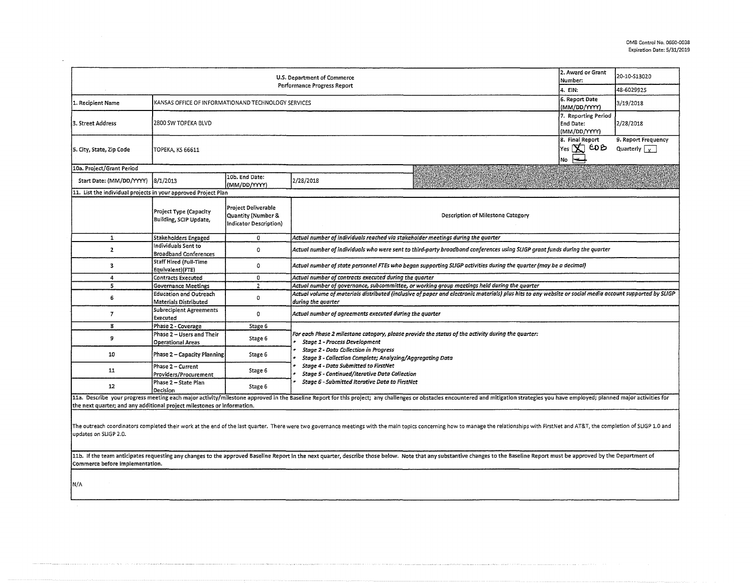| 2. Award or Grant<br>U.S. Department of Commerce<br>Number:<br>Performance Progress Report                                                                                                                                                                       |                                                         |                                                                     |                                                                                                                                                                                                                                                  |                                                                                                                                                                                                                                |                                     | 20-10-S13020<br>48-6029925                  |  |  |  |
|------------------------------------------------------------------------------------------------------------------------------------------------------------------------------------------------------------------------------------------------------------------|---------------------------------------------------------|---------------------------------------------------------------------|--------------------------------------------------------------------------------------------------------------------------------------------------------------------------------------------------------------------------------------------------|--------------------------------------------------------------------------------------------------------------------------------------------------------------------------------------------------------------------------------|-------------------------------------|---------------------------------------------|--|--|--|
| KANSAS OFFICE OF INFORMATIONAND TECHNOLOGY SERVICES                                                                                                                                                                                                              |                                                         |                                                                     |                                                                                                                                                                                                                                                  |                                                                                                                                                                                                                                | 4. EIN:<br>6. Report Date           |                                             |  |  |  |
| 1. Recipient Name                                                                                                                                                                                                                                                |                                                         |                                                                     |                                                                                                                                                                                                                                                  |                                                                                                                                                                                                                                | (MM/DD/YYYY)<br>7. Reporting Period | 3/19/2018                                   |  |  |  |
| 3. Street Address                                                                                                                                                                                                                                                | 2800 SW TOPEKA BLVD<br><b>End Date:</b><br>(MM/DD/YYYY) |                                                                     |                                                                                                                                                                                                                                                  |                                                                                                                                                                                                                                |                                     | 2/28/2018                                   |  |  |  |
| 5. City, State, Zip Code                                                                                                                                                                                                                                         | <b>TOPEKA, KS 66611</b>                                 |                                                                     |                                                                                                                                                                                                                                                  |                                                                                                                                                                                                                                |                                     | 9. Report Frequency<br>Quarterly $\sqrt{ }$ |  |  |  |
| 10a. Project/Grant Period                                                                                                                                                                                                                                        |                                                         |                                                                     |                                                                                                                                                                                                                                                  |                                                                                                                                                                                                                                |                                     |                                             |  |  |  |
| Start Date: (MM/DD/YYYY)                                                                                                                                                                                                                                         | 8/1/2013                                                | 10b. End Date:<br>(MM/DD/YYYY)                                      | 2/28/2018                                                                                                                                                                                                                                        |                                                                                                                                                                                                                                |                                     |                                             |  |  |  |
| 11. List the individual projects in your approved Project Plan                                                                                                                                                                                                   |                                                         |                                                                     |                                                                                                                                                                                                                                                  |                                                                                                                                                                                                                                |                                     |                                             |  |  |  |
|                                                                                                                                                                                                                                                                  | Project Type (Capacity<br>Building, SCIP Update,        | Project Deliverable<br>Quantity (Number &<br>Indicator Description) | Description of Milestone Category                                                                                                                                                                                                                |                                                                                                                                                                                                                                |                                     |                                             |  |  |  |
| $\mathbf{1}$                                                                                                                                                                                                                                                     | <b>Stakeholders Engaged</b>                             | 0                                                                   | Actual number of individuals reached via stakeholder meetings during the quarter                                                                                                                                                                 |                                                                                                                                                                                                                                |                                     |                                             |  |  |  |
| $\mathbf{z}$                                                                                                                                                                                                                                                     | Individuals Sent to<br><b>Broadband Conferences</b>     | $\Omega$                                                            | Actual number of individuals who were sent to third-party broadband conferences using SLIGP grant funds during the quarter                                                                                                                       |                                                                                                                                                                                                                                |                                     |                                             |  |  |  |
| 3                                                                                                                                                                                                                                                                | <b>Staff Hired (Full-Time</b><br>Equivalent)(FTE)       | 0                                                                   | Actual number of state personnel FTEs who began supporting SLIGP activities during the quarter (may be a decimal)                                                                                                                                |                                                                                                                                                                                                                                |                                     |                                             |  |  |  |
| 4                                                                                                                                                                                                                                                                | <b>Contracts Executed</b>                               | $\Omega$                                                            | Actual number of contracts executed during the quarter                                                                                                                                                                                           |                                                                                                                                                                                                                                |                                     |                                             |  |  |  |
| 5                                                                                                                                                                                                                                                                | <b>Governance Meetings</b>                              | $\overline{2}$                                                      | Actual number of governance, subcommittee, or working group meetings held during the quarter                                                                                                                                                     |                                                                                                                                                                                                                                |                                     |                                             |  |  |  |
| 6                                                                                                                                                                                                                                                                | <b>Education and Outreach</b><br>Materials Distributed  | 0                                                                   | Actual volume of materials distributed (inclusive of paper and electronic materials) plus hits to any website or social media account supported by SLIGP<br>during the quarter                                                                   |                                                                                                                                                                                                                                |                                     |                                             |  |  |  |
| $\overline{7}$                                                                                                                                                                                                                                                   | <b>Subrecipient Agreements</b><br>Executed              | $\mathbf 0$                                                         | Actual number of agreements executed during the quarter                                                                                                                                                                                          |                                                                                                                                                                                                                                |                                     |                                             |  |  |  |
| 8                                                                                                                                                                                                                                                                | Phase 2 - Coverage                                      | Stage 6                                                             |                                                                                                                                                                                                                                                  |                                                                                                                                                                                                                                |                                     |                                             |  |  |  |
| 9                                                                                                                                                                                                                                                                | Phase 2 - Users and Their<br><b>Operational Areas</b>   | Stage 6                                                             | For each Phase 2 milestone category, please provide the status of the activity during the quarter:<br>Stage 1 - Process Development<br><b>Stage 2 - Data Collection in Progress</b><br>Stage 3 - Collection Complete; Analyzing/Aggregating Data |                                                                                                                                                                                                                                |                                     |                                             |  |  |  |
| 10                                                                                                                                                                                                                                                               | Phase 2 - Capacity Planning                             | Stage 6                                                             |                                                                                                                                                                                                                                                  |                                                                                                                                                                                                                                |                                     |                                             |  |  |  |
| 11                                                                                                                                                                                                                                                               | Phase 2 - Current<br>Providers/Procurement              | Stage 6                                                             | Stage 4 - Data Submitted to FirstNet<br>Stage 5 - Continued/Iterative Data Collection                                                                                                                                                            |                                                                                                                                                                                                                                |                                     |                                             |  |  |  |
| 12                                                                                                                                                                                                                                                               | Phase 2 - State Plan<br>Decision                        | Stage 6                                                             | Stage 6 - Submitted Iterative Data to FirstNet                                                                                                                                                                                                   |                                                                                                                                                                                                                                |                                     |                                             |  |  |  |
|                                                                                                                                                                                                                                                                  |                                                         |                                                                     |                                                                                                                                                                                                                                                  | 11a. Describe your progress meeting each major activity/milestone approved in the Baseline Report for this project; any challenges or obstacles encountered and mitigation strategies you have employed; planned major activit |                                     |                                             |  |  |  |
| the next quarter; and any additional project milestones or information.                                                                                                                                                                                          |                                                         |                                                                     |                                                                                                                                                                                                                                                  |                                                                                                                                                                                                                                |                                     |                                             |  |  |  |
| updates on SLIGP 2.0.                                                                                                                                                                                                                                            |                                                         |                                                                     |                                                                                                                                                                                                                                                  | The outreach coordinators completed their work at the end of the last quarter. There were two governance meetings with the main topics concerning how to manage the relationships with FirstNet and AT&T, the completion of SL |                                     |                                             |  |  |  |
| 11b. If the team anticipates requesting any changes to the approved Baseline Report in the next quarter, describe those below. Note that any substantive changes to the Baseline Report must be approved by the Department of<br>Commerce before implementation. |                                                         |                                                                     |                                                                                                                                                                                                                                                  |                                                                                                                                                                                                                                |                                     |                                             |  |  |  |
| N/A                                                                                                                                                                                                                                                              |                                                         |                                                                     |                                                                                                                                                                                                                                                  |                                                                                                                                                                                                                                |                                     |                                             |  |  |  |

 $\mathcal{L}$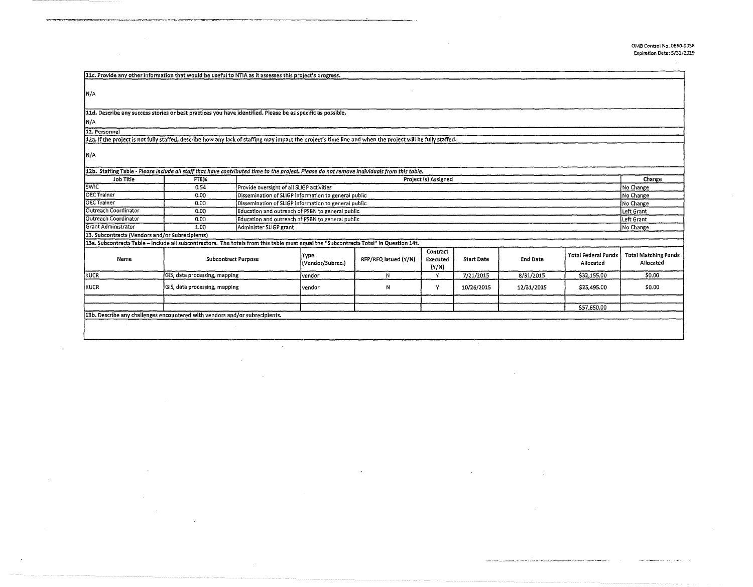in.

| 11c. Provide any other information that would be useful to NTIA as it assesses this project's progress.                                                    |                               |                        |                                                                                                                                                                     |                      |                               |                   |                 |                                         |                                          |
|------------------------------------------------------------------------------------------------------------------------------------------------------------|-------------------------------|------------------------|---------------------------------------------------------------------------------------------------------------------------------------------------------------------|----------------------|-------------------------------|-------------------|-----------------|-----------------------------------------|------------------------------------------|
| IN/A                                                                                                                                                       |                               |                        |                                                                                                                                                                     |                      |                               |                   |                 |                                         |                                          |
|                                                                                                                                                            |                               |                        |                                                                                                                                                                     |                      |                               |                   |                 |                                         |                                          |
| 11d. Describe any success stories or best practices you have identified. Please be as specific as possible.                                                |                               |                        |                                                                                                                                                                     |                      |                               |                   |                 |                                         |                                          |
| N/A                                                                                                                                                        |                               |                        |                                                                                                                                                                     |                      |                               |                   |                 |                                         |                                          |
| 12. Personnel                                                                                                                                              |                               |                        |                                                                                                                                                                     |                      |                               |                   |                 |                                         |                                          |
| 12a. If the project is not fully staffed, describe how any lack of staffing may impact the project's time line and when the project will be fully staffed. |                               |                        |                                                                                                                                                                     |                      |                               |                   |                 |                                         |                                          |
|                                                                                                                                                            |                               |                        |                                                                                                                                                                     |                      |                               |                   |                 |                                         |                                          |
| IN/A                                                                                                                                                       |                               |                        |                                                                                                                                                                     |                      |                               |                   |                 |                                         |                                          |
|                                                                                                                                                            |                               |                        |                                                                                                                                                                     |                      |                               |                   |                 |                                         |                                          |
| Job Title                                                                                                                                                  | FTE%                          |                        | 12b. Staffing Table - Please include all staff that have contributed time to the project. Please do not remove individuals from this table.<br>Project (s) Assigned |                      |                               |                   |                 |                                         |                                          |
| <b>SWIC</b>                                                                                                                                                | 0.54                          |                        | Provide oversight of all SLIGP activities                                                                                                                           |                      |                               |                   |                 |                                         | Change<br>No Change                      |
| <b>OEC Trainer</b>                                                                                                                                         | 0.00                          |                        | Dissemination of SLIGP Information to general public                                                                                                                |                      |                               |                   |                 |                                         | No Change                                |
| <b>OEC Trainer</b>                                                                                                                                         | 0.00                          |                        | Dissemination of SLIGP information to general public                                                                                                                |                      |                               |                   |                 |                                         |                                          |
| Outreach Coordinator                                                                                                                                       | 0.00                          |                        | Education and outreach of PSBN to general public                                                                                                                    |                      |                               |                   |                 |                                         |                                          |
| Outreach Coordinator                                                                                                                                       | 0.00                          |                        | Education and outreach of PSBN to general public                                                                                                                    |                      |                               |                   |                 |                                         |                                          |
| Grant Administrator                                                                                                                                        | 1.00                          | Administer SLIGP grant |                                                                                                                                                                     |                      |                               |                   |                 |                                         |                                          |
| No Change<br>13. Subcontracts (Vendors and/or Subrecipients)                                                                                               |                               |                        |                                                                                                                                                                     |                      |                               |                   |                 |                                         |                                          |
| 13a. Subcontracts Table - Include all subcontractors. The totals from this table must equal the "Subcontracts Total" in Question 14f.                      |                               |                        |                                                                                                                                                                     |                      |                               |                   |                 |                                         |                                          |
| Name                                                                                                                                                       | <b>Subcontract Purpose</b>    |                        | Type<br>(Vendor/Subrec.)                                                                                                                                            | RFP/RFQ Issued (Y/N) | Contract<br>Executed<br>(Y/N) | <b>Start Date</b> | <b>End Date</b> | <b>Total Federal Funds</b><br>Allocated | <b>Total Matching Funds</b><br>Allocated |
| KUCR                                                                                                                                                       | GIS, data processing, mapping |                        | vendor                                                                                                                                                              | N                    | Y                             | 7/21/2015         | 8/31/2015       | \$32,155,00                             | \$0.00                                   |
| <b>KUCR</b>                                                                                                                                                | GIS, data processing, mapping |                        | lvendor                                                                                                                                                             | Ν                    | Υ                             | 10/26/2015        | 12/31/2015      | \$25,495.00                             | \$0.00                                   |
|                                                                                                                                                            |                               |                        |                                                                                                                                                                     |                      |                               |                   |                 |                                         |                                          |
| 13b. Describe any challenges encountered with vendors and/or subrecipients.                                                                                |                               |                        |                                                                                                                                                                     |                      |                               |                   |                 | \$57,650.00                             |                                          |
|                                                                                                                                                            |                               |                        |                                                                                                                                                                     |                      |                               |                   |                 |                                         |                                          |
|                                                                                                                                                            |                               |                        |                                                                                                                                                                     |                      |                               |                   |                 |                                         |                                          |
|                                                                                                                                                            |                               |                        |                                                                                                                                                                     |                      |                               |                   |                 |                                         |                                          |

. ·="·"•·==··· -·····~-• .. "·'·"".... ~.•.=~~~~~-----------------"-----

 $\sim$